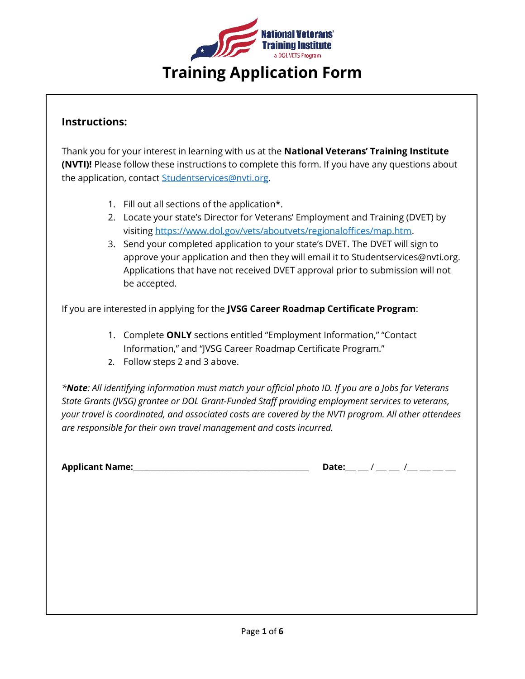

## **Instructions:**

Thank you for your interest in learning with us at the **National Veterans' Training Institute (NVTI)!** Please follow these instructions to complete this form. If you have any questions about the application, contact **Studentservices@nvti.org**.

- 1. Fill out all sections of the application\*.
- 2. Locate your state's Director for Veterans' Employment and Training (DVET) by visiting [https://www.dol.gov/vets/aboutvets/regionaloffices/map.htm.](https://www.dol.gov/vets/aboutvets/regionaloffices/map.htm)
- 3. Send your completed application to your state's DVET. The DVET will sign to approve your application and then they will email it to Studentservices@nvti.org. Applications that have not received DVET approval prior to submission will not be accepted.

If you are interested in applying for the **JVSG Career Roadmap Certificate Program**:

- 1. Complete **ONLY** sections entitled "Employment Information," "Contact Information," and "JVSG Career Roadmap Certificate Program."
- 2. Follow steps 2 and 3 above.

*\*Note: All identifying information must match your official photo ID. If you are a Jobs for Veterans State Grants (JVSG) grantee or DOL Grant-Funded Staff providing employment services to veterans, your travel is coordinated, and associated costs are covered by the NVTI program. All other attendees are responsible for their own travel management and costs incurred.* 

**Applicant Name:\_\_\_\_\_\_\_\_\_\_\_\_\_\_\_\_\_\_\_\_\_\_\_\_\_\_\_\_\_\_\_\_\_\_\_\_\_\_\_\_\_\_\_\_\_\_\_\_\_\_ Date:\_\_\_ \_\_\_** / **\_\_\_ \_\_\_** /**\_\_\_ \_\_\_ \_\_\_ \_\_\_**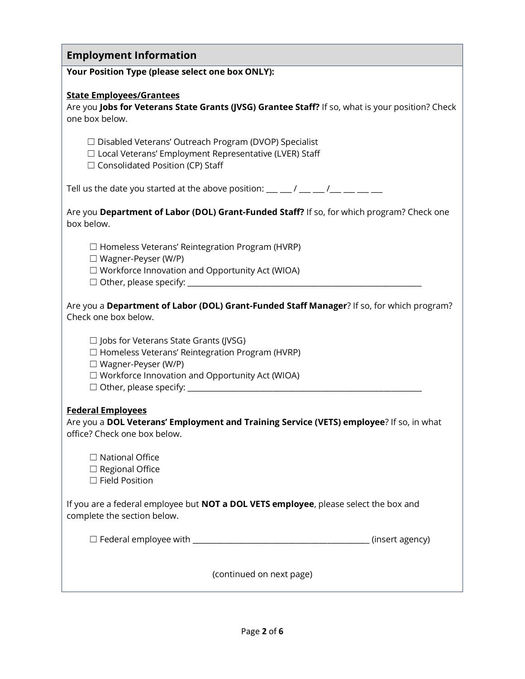| <b>Employment Information</b>                                                                                                                                                                                                                                                                     |
|---------------------------------------------------------------------------------------------------------------------------------------------------------------------------------------------------------------------------------------------------------------------------------------------------|
| Your Position Type (please select one box ONLY):                                                                                                                                                                                                                                                  |
| <b>State Employees/Grantees</b><br>Are you Jobs for Veterans State Grants (JVSG) Grantee Staff? If so, what is your position? Check<br>one box below.                                                                                                                                             |
| □ Disabled Veterans' Outreach Program (DVOP) Specialist<br>□ Local Veterans' Employment Representative (LVER) Staff<br>$\Box$ Consolidated Position (CP) Staff                                                                                                                                    |
| Tell us the date you started at the above position: $\frac{1}{1}$ $\frac{1}{1}$ $\frac{1}{1}$ $\frac{1}{1}$ $\frac{1}{1}$ $\frac{1}{1}$ $\frac{1}{1}$ $\frac{1}{1}$ $\frac{1}{1}$ $\frac{1}{1}$ $\frac{1}{1}$ $\frac{1}{1}$ $\frac{1}{1}$ $\frac{1}{1}$ $\frac{1}{1}$ $\frac{1}{1}$ $\frac{1}{1}$ |
| Are you Department of Labor (DOL) Grant-Funded Staff? If so, for which program? Check one<br>box below.                                                                                                                                                                                           |
| $\Box$ Homeless Veterans' Reintegration Program (HVRP)<br>$\Box$ Wagner-Peyser (W/P)<br>$\Box$ Workforce Innovation and Opportunity Act (WIOA)                                                                                                                                                    |
| Are you a Department of Labor (DOL) Grant-Funded Staff Manager? If so, for which program?<br>Check one box below.                                                                                                                                                                                 |
| $\Box$ Jobs for Veterans State Grants (JVSG)<br>$\Box$ Homeless Veterans' Reintegration Program (HVRP)<br>$\Box$ Wagner-Peyser (W/P)                                                                                                                                                              |
| $\Box$ Workforce Innovation and Opportunity Act (WIOA)                                                                                                                                                                                                                                            |
| <b>Federal Employees</b><br>Are you a DOL Veterans' Employment and Training Service (VETS) employee? If so, in what<br>office? Check one box below.                                                                                                                                               |
| $\Box$ National Office<br>$\Box$ Regional Office<br>□ Field Position                                                                                                                                                                                                                              |
| If you are a federal employee but NOT a DOL VETS employee, please select the box and<br>complete the section below.                                                                                                                                                                               |
| (insert agency)                                                                                                                                                                                                                                                                                   |
| (continued on next page)                                                                                                                                                                                                                                                                          |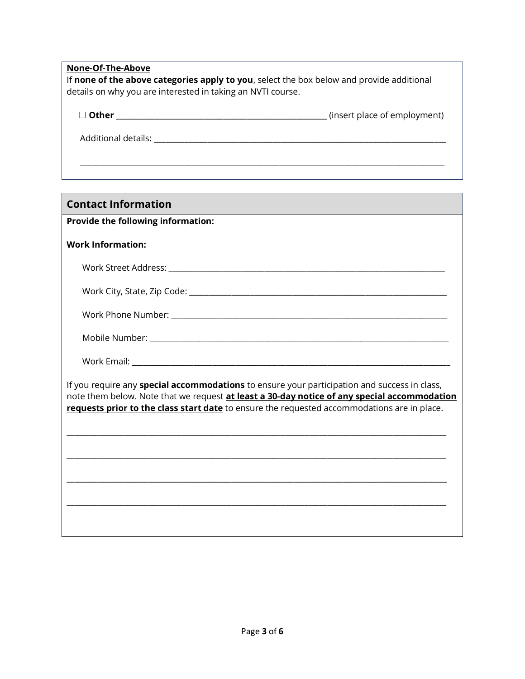#### **None-Of-The-Above**

If **none of the above categories apply to you**, select the box below and provide additional details on why you are interested in taking an NVTI course.

| $\Box$ Other | (insert place of employment) |
|--------------|------------------------------|
|              |                              |

 $\overline{\phantom{a}}$  ,  $\overline{\phantom{a}}$  ,  $\overline{\phantom{a}}$  ,  $\overline{\phantom{a}}$  ,  $\overline{\phantom{a}}$  ,  $\overline{\phantom{a}}$  ,  $\overline{\phantom{a}}$  ,  $\overline{\phantom{a}}$  ,  $\overline{\phantom{a}}$  ,  $\overline{\phantom{a}}$  ,  $\overline{\phantom{a}}$  ,  $\overline{\phantom{a}}$  ,  $\overline{\phantom{a}}$  ,  $\overline{\phantom{a}}$  ,  $\overline{\phantom{a}}$  ,  $\overline{\phantom{a}}$ 

Additional details: \_\_\_\_\_\_\_\_\_\_\_\_\_\_\_\_\_\_\_\_\_\_\_\_\_\_\_\_\_\_\_\_\_\_\_\_\_\_\_\_\_\_\_\_\_\_\_\_\_\_\_\_\_\_\_\_\_\_\_\_\_\_\_\_\_\_\_\_\_\_\_\_\_\_\_\_

### **Contact Information**

#### **Provide the following information:**

#### **Work Information:**

| Work Street Address:                    |
|-----------------------------------------|
| Work City, State, Zip Code:             |
| $\cdots$<br>$\sim$ $\sim$ $\sim$ $\sim$ |

| Work Phone Number: |  |
|--------------------|--|
|                    |  |

| Mobile Number: |  |
|----------------|--|
|----------------|--|

Work Email: \_\_\_\_\_\_\_\_\_\_\_\_\_\_\_\_\_\_\_\_\_\_\_\_\_\_\_\_\_\_\_\_\_\_\_\_\_\_\_\_\_\_\_\_\_\_\_\_\_\_\_\_\_\_\_\_\_\_\_\_\_\_\_\_\_\_\_\_\_\_\_\_\_\_\_\_\_\_\_\_\_\_\_

If you require any **special accommodations** to ensure your participation and success in class, note them below. Note that we request **at least a 30-day notice of any special accommodation requests prior to the class start date** to ensure the requested accommodations are in place.

\_\_\_\_\_\_\_\_\_\_\_\_\_\_\_\_\_\_\_\_\_\_\_\_\_\_\_\_\_\_\_\_\_\_\_\_\_\_\_\_\_\_\_\_\_\_\_\_\_\_\_\_\_\_\_\_\_\_\_\_\_\_\_\_\_\_\_\_\_\_\_\_\_\_\_\_\_\_\_\_\_\_\_\_\_\_\_\_\_\_\_\_\_\_\_\_\_\_\_

\_\_\_\_\_\_\_\_\_\_\_\_\_\_\_\_\_\_\_\_\_\_\_\_\_\_\_\_\_\_\_\_\_\_\_\_\_\_\_\_\_\_\_\_\_\_\_\_\_\_\_\_\_\_\_\_\_\_\_\_\_\_\_\_\_\_\_\_\_\_\_\_\_\_\_\_\_\_\_\_\_\_\_\_\_\_\_\_\_\_\_\_\_\_\_\_\_\_\_

\_\_\_\_\_\_\_\_\_\_\_\_\_\_\_\_\_\_\_\_\_\_\_\_\_\_\_\_\_\_\_\_\_\_\_\_\_\_\_\_\_\_\_\_\_\_\_\_\_\_\_\_\_\_\_\_\_\_\_\_\_\_\_\_\_\_\_\_\_\_\_\_\_\_\_\_\_\_\_\_\_\_\_\_\_\_\_\_\_\_\_\_\_\_\_\_\_\_\_

\_\_\_\_\_\_\_\_\_\_\_\_\_\_\_\_\_\_\_\_\_\_\_\_\_\_\_\_\_\_\_\_\_\_\_\_\_\_\_\_\_\_\_\_\_\_\_\_\_\_\_\_\_\_\_\_\_\_\_\_\_\_\_\_\_\_\_\_\_\_\_\_\_\_\_\_\_\_\_\_\_\_\_\_\_\_\_\_\_\_\_\_\_\_\_\_\_\_\_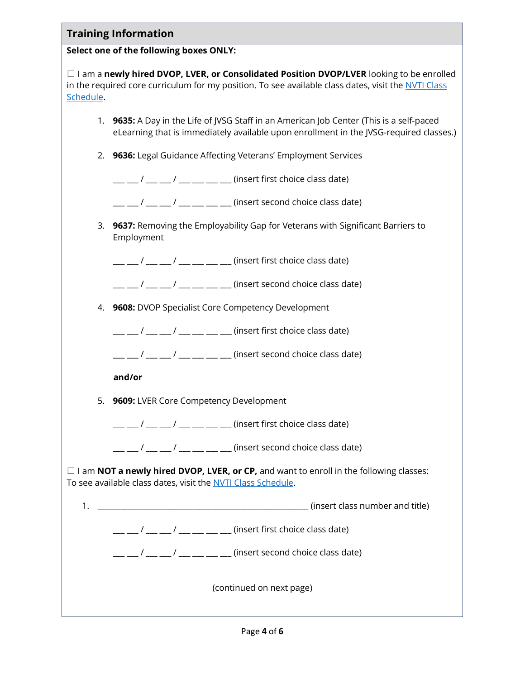| <b>Training Information</b>                                                                                                                                                                                         |  |  |
|---------------------------------------------------------------------------------------------------------------------------------------------------------------------------------------------------------------------|--|--|
| Select one of the following boxes ONLY:                                                                                                                                                                             |  |  |
| $\Box$ I am a newly hired DVOP, LVER, or Consolidated Position DVOP/LVER looking to be enrolled<br>in the required core curriculum for my position. To see available class dates, visit the NVTI Class<br>Schedule. |  |  |
| 1. 9635: A Day in the Life of JVSG Staff in an American Job Center (This is a self-paced<br>eLearning that is immediately available upon enrollment in the JVSG-required classes.)                                  |  |  |
| 2. 9636: Legal Guidance Affecting Veterans' Employment Services                                                                                                                                                     |  |  |
| $\frac{1}{1}$ $\frac{1}{1}$ $\frac{1}{1}$ $\frac{1}{1}$ $\frac{1}{1}$ $\frac{1}{1}$ $\frac{1}{1}$ $\frac{1}{1}$ (insert first choice class date)                                                                    |  |  |
| $\frac{1}{1}$ $\frac{1}{1}$ $\frac{1}{1}$ $\frac{1}{1}$ $\frac{1}{1}$ $\frac{1}{1}$ $\frac{1}{1}$ $\frac{1}{1}$ $\frac{1}{1}$ (insert second choice class date)                                                     |  |  |
| 3. 9637: Removing the Employability Gap for Veterans with Significant Barriers to<br>Employment                                                                                                                     |  |  |
| __ __ / __ __ / __ __ __ __ (insert first choice class date)                                                                                                                                                        |  |  |
| $\frac{1}{1}$ / __ __ / __ __ __ __ (insert second choice class date)                                                                                                                                               |  |  |
| 4. 9608: DVOP Specialist Core Competency Development                                                                                                                                                                |  |  |
| $\frac{1}{1}$ / $\frac{1}{1}$ / $\frac{1}{1}$ / $\frac{1}{1}$ $\frac{1}{1}$ $\frac{1}{1}$ (insert first choice class date)                                                                                          |  |  |
| $\frac{1}{1}$ $\frac{1}{1}$ $\frac{1}{1}$ $\frac{1}{1}$ $\frac{1}{1}$ $\frac{1}{1}$ $\frac{1}{1}$ $\frac{1}{1}$ $\frac{1}{1}$ (insert second choice class date)                                                     |  |  |
| and/or                                                                                                                                                                                                              |  |  |
| 5. 9609: LVER Core Competency Development                                                                                                                                                                           |  |  |
| $\frac{1}{1}$ / __ __ / __ __ __ __ __ (insert first choice class date)                                                                                                                                             |  |  |
| $\frac{1}{1}$ / $\frac{1}{1}$ / $\frac{1}{1}$ / $\frac{1}{1}$ $\frac{1}{1}$ $\frac{1}{1}$ (insert second choice class date)                                                                                         |  |  |
| $\Box$ I am <b>NOT a newly hired DVOP, LVER, or CP,</b> and want to enroll in the following classes:<br>To see available class dates, visit the NVTI Class Schedule.                                                |  |  |
|                                                                                                                                                                                                                     |  |  |
| $\frac{1}{1}$ / __ __ / __ __ __ __ __ (insert first choice class date)                                                                                                                                             |  |  |
| $\frac{1}{1}$ / $\frac{1}{1}$ / $\frac{1}{1}$ / $\frac{1}{1}$ $\frac{1}{1}$ $\frac{1}{1}$ $\frac{1}{1}$ (insert second choice class date)                                                                           |  |  |
| (continued on next page)                                                                                                                                                                                            |  |  |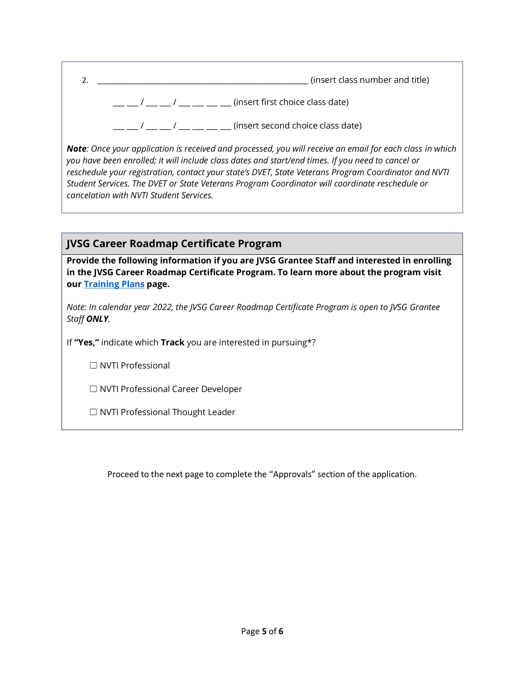| (insert class number and title)   |
|-----------------------------------|
| (insert first choice class date)  |
| (insert second choice class date) |

*Note: Once your application is received and processed, you will receive an email for each class in which you have been enrolled; it will include class dates and start/end times. If you need to cancel or reschedule your registration, contact your state's DVET, State Veterans Program Coordinator and NVTI Student Services. The DVET or State Veterans Program Coordinator will coordinate reschedule or cancelation with NVTI Student Services.* 

# **JVSG Career Roadmap Certificate Program**

**Provide the following information if you are JVSG Grantee Staff and interested in enrolling in the JVSG Career Roadmap Certificate Program. To learn more about the program visit ou[r Training Plans](https://www.nvti.org/Training/Training-Plans) page.** 

*Note: In calendar year 2022, the JVSG Career Roadmap Certificate Program is open to JVSG Grantee Staff ONLY.* 

If **"Yes,"** indicate which **Track** you are interested in pursuing\*?

☐ NVTI Professional

☐ NVTI Professional Career Developer

☐ NVTI Professional Thought Leader

Proceed to the next page to complete the "Approvals" section of the application.